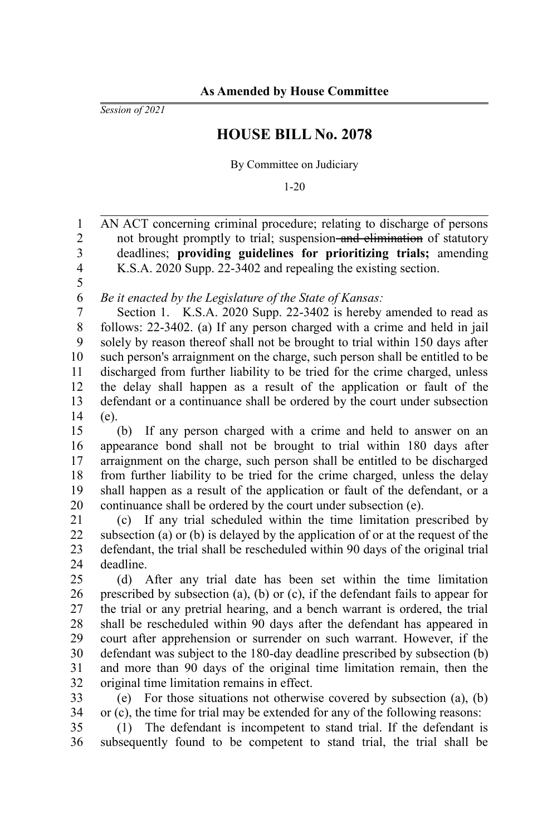*Session of 2021*

## **HOUSE BILL No. 2078**

By Committee on Judiciary

1-20

AN ACT concerning criminal procedure; relating to discharge of persons not brought promptly to trial; suspension-and elimination of statutory deadlines; **providing guidelines for prioritizing trials;** amending K.S.A. 2020 Supp. 22-3402 and repealing the existing section. 1 2 3 4

5

*Be it enacted by the Legislature of the State of Kansas:* 6

Section 1. K.S.A. 2020 Supp. 22-3402 is hereby amended to read as follows: 22-3402. (a) If any person charged with a crime and held in jail solely by reason thereof shall not be brought to trial within 150 days after such person's arraignment on the charge, such person shall be entitled to be discharged from further liability to be tried for the crime charged, unless the delay shall happen as a result of the application or fault of the defendant or a continuance shall be ordered by the court under subsection (e). 7 8 9 10 11 12 13 14

(b) If any person charged with a crime and held to answer on an appearance bond shall not be brought to trial within 180 days after arraignment on the charge, such person shall be entitled to be discharged from further liability to be tried for the crime charged, unless the delay shall happen as a result of the application or fault of the defendant, or a continuance shall be ordered by the court under subsection (e). 15 16 17 18 19 20

(c) If any trial scheduled within the time limitation prescribed by subsection (a) or (b) is delayed by the application of or at the request of the defendant, the trial shall be rescheduled within 90 days of the original trial deadline. 21 22 23  $24$ 

(d) After any trial date has been set within the time limitation prescribed by subsection (a), (b) or (c), if the defendant fails to appear for the trial or any pretrial hearing, and a bench warrant is ordered, the trial shall be rescheduled within 90 days after the defendant has appeared in court after apprehension or surrender on such warrant. However, if the defendant was subject to the 180-day deadline prescribed by subsection (b) and more than 90 days of the original time limitation remain, then the original time limitation remains in effect. 25 26 27 28 29 30 31 32

(e) For those situations not otherwise covered by subsection (a), (b) or (c), the time for trial may be extended for any of the following reasons: 33 34

(1) The defendant is incompetent to stand trial. If the defendant is subsequently found to be competent to stand trial, the trial shall be 35 36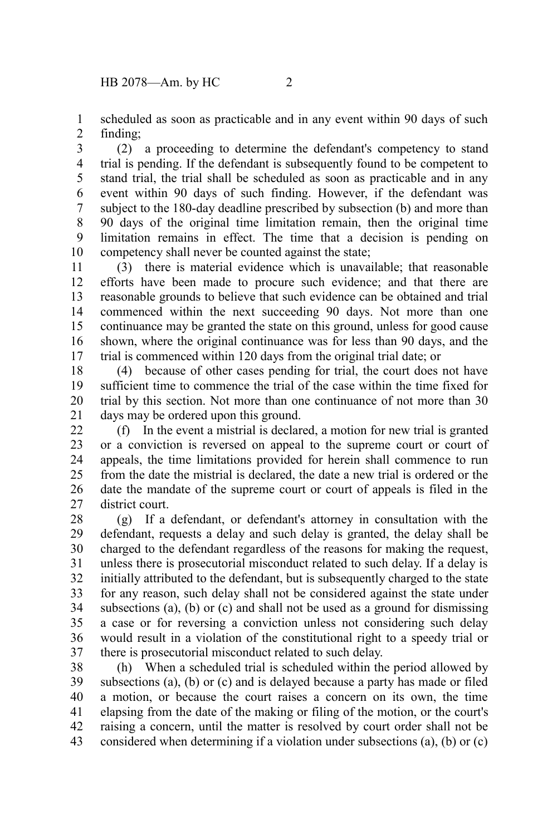scheduled as soon as practicable and in any event within 90 days of such finding; 1 2

(2) a proceeding to determine the defendant's competency to stand trial is pending. If the defendant is subsequently found to be competent to stand trial, the trial shall be scheduled as soon as practicable and in any event within 90 days of such finding. However, if the defendant was subject to the 180-day deadline prescribed by subsection (b) and more than 90 days of the original time limitation remain, then the original time limitation remains in effect. The time that a decision is pending on competency shall never be counted against the state; 3 4 5 6 7 8 9 10

(3) there is material evidence which is unavailable; that reasonable efforts have been made to procure such evidence; and that there are reasonable grounds to believe that such evidence can be obtained and trial commenced within the next succeeding 90 days. Not more than one continuance may be granted the state on this ground, unless for good cause shown, where the original continuance was for less than 90 days, and the trial is commenced within 120 days from the original trial date; or 11 12 13 14 15 16 17

(4) because of other cases pending for trial, the court does not have sufficient time to commence the trial of the case within the time fixed for trial by this section. Not more than one continuance of not more than 30 days may be ordered upon this ground. 18 19 20 21

(f) In the event a mistrial is declared, a motion for new trial is granted or a conviction is reversed on appeal to the supreme court or court of appeals, the time limitations provided for herein shall commence to run from the date the mistrial is declared, the date a new trial is ordered or the date the mandate of the supreme court or court of appeals is filed in the district court. 22 23 24 25 26 27

(g) If a defendant, or defendant's attorney in consultation with the defendant, requests a delay and such delay is granted, the delay shall be charged to the defendant regardless of the reasons for making the request, unless there is prosecutorial misconduct related to such delay. If a delay is initially attributed to the defendant, but is subsequently charged to the state for any reason, such delay shall not be considered against the state under subsections (a), (b) or (c) and shall not be used as a ground for dismissing a case or for reversing a conviction unless not considering such delay would result in a violation of the constitutional right to a speedy trial or there is prosecutorial misconduct related to such delay. 28 29 30 31 32 33 34 35 36 37

(h) When a scheduled trial is scheduled within the period allowed by subsections (a), (b) or (c) and is delayed because a party has made or filed a motion, or because the court raises a concern on its own, the time elapsing from the date of the making or filing of the motion, or the court's raising a concern, until the matter is resolved by court order shall not be considered when determining if a violation under subsections (a), (b) or (c) 38 39 40 41 42 43